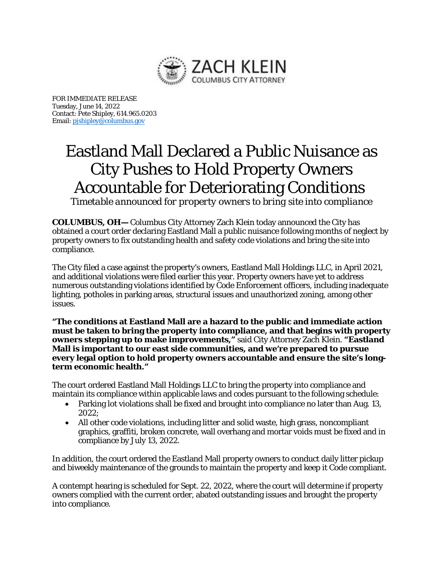

FOR IMMEDIATE RELEASE Tuesday, June 14, 2022 Contact: Pete Shipley, 614.965.0203 Email[: pjshipley@columbus.gov](mailto:pjshipley@columbus.gov)

## Eastland Mall Declared a Public Nuisance as City Pushes to Hold Property Owners Accountable for Deteriorating Conditions

*Timetable announced for property owners to bring site into compliance*

**COLUMBUS, OH—** Columbus City Attorney Zach Klein today announced the City has obtained a court order declaring Eastland Mall a public nuisance following months of neglect by property owners to fix outstanding health and safety code violations and bring the site into compliance.

The City filed a case against the property's owners, Eastland Mall Holdings LLC, in April 2021, and additional violations were filed earlier this year. Property owners have yet to address numerous outstanding violations identified by Code Enforcement officers, including inadequate lighting, potholes in parking areas, structural issues and unauthorized zoning, among other issues.

**"The conditions at Eastland Mall are a hazard to the public and immediate action must be taken to bring the property into compliance, and that begins with property owners stepping up to make improvements,"** said City Attorney Zach Klein. **"Eastland Mall is important to our east side communities, and we're prepared to pursue every legal option to hold property owners accountable and ensure the site's longterm economic health."**

The court ordered Eastland Mall Holdings LLC to bring the property into compliance and maintain its compliance within applicable laws and codes pursuant to the following schedule:

- Parking lot violations shall be fixed and brought into compliance no later than Aug. 13, 2022;
- All other code violations, including litter and solid waste, high grass, noncompliant graphics, graffiti, broken concrete, wall overhang and mortar voids must be fixed and in compliance by July 13, 2022.

In addition, the court ordered the Eastland Mall property owners to conduct daily litter pickup and biweekly maintenance of the grounds to maintain the property and keep it Code compliant.

A contempt hearing is scheduled for Sept. 22, 2022, where the court will determine if property owners complied with the current order, abated outstanding issues and brought the property into compliance.